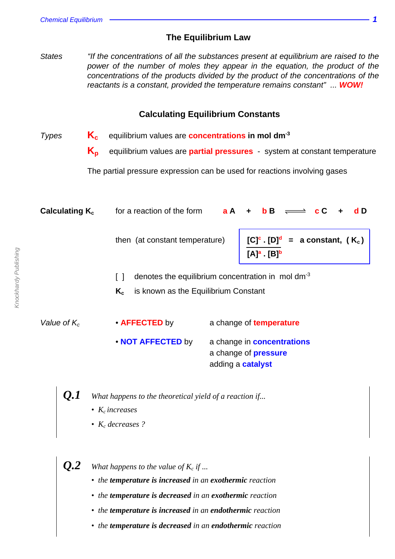## **The Equilibrium Law**

States "If the concentrations of all the substances present at equilibrium are raised to the power of the number of moles they appear in the equation, the product of the concentrations of the products divided by the product of the concentrations of the reactants is a constant, provided the temperature remains constant" ... **WOW!**

### **Calculating Equilibrium Constants**

- Types **Kc** equilibrium values are **concentrations in mol dm-3**
	- **Kp** equilibrium values are **partial pressures** system at constant temperature

The partial pressure expression can be used for reactions involving gases

| Calculating $K_c$ | for a reaction of the form                                                  | a A                                                    | $\mathbf{c}$ C<br>d D<br>b B<br>$\ddot{\phantom{1}}$                                 |  |  |
|-------------------|-----------------------------------------------------------------------------|--------------------------------------------------------|--------------------------------------------------------------------------------------|--|--|
|                   | then (at constant temperature)                                              |                                                        | $=$ a constant, (K <sub>c</sub> )<br>$[C]$ c $[D]$ <sub>q</sub><br>$[A]^a$ . $[B]^b$ |  |  |
|                   | $\Box$                                                                      | denotes the equilibrium concentration in mol $dm^{-3}$ |                                                                                      |  |  |
|                   | $K_c$                                                                       | is known as the Equilibrium Constant                   |                                                                                      |  |  |
|                   |                                                                             |                                                        |                                                                                      |  |  |
| Value of $K_c$    | • <b>AFFECTED</b> by                                                        |                                                        | a change of <b>temperature</b>                                                       |  |  |
|                   | • NOT AFFECTED by                                                           |                                                        | a change in <b>concentrations</b><br>a change of <b>pressure</b>                     |  |  |
|                   |                                                                             |                                                        | adding a <b>catalyst</b>                                                             |  |  |
|                   | What happens to the theoretical yield of a reaction if<br>• $K_c$ increases |                                                        |                                                                                      |  |  |

*• K<sup>c</sup> decreases ?*

 $\bm{Q.2}$   $\quad$  What happens to the value of  $K_c$  if  $...$ 

- *the temperature is increased in an exothermic reaction*
- *the temperature is decreased in an exothermic reaction*
- *the temperature is increased in an endothermic reaction*
- *the temperature is decreased in an endothermic reaction*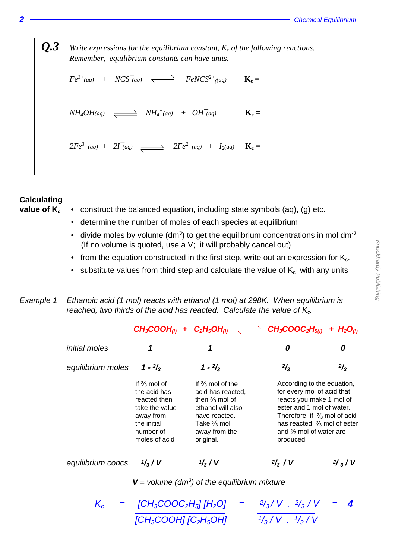$Q.3$  *Write expressions for the equilibrium constant,*  $K_c$  *of the following reactions. Remember, equilibrium constants can have units.*

 $Fe^{3+}(aq)$  +  $NCS^-(aq)$   $\overrightarrow{S}$   $FeNCS^{2+}(aq)$   $\overrightarrow{K}_c$  =

 $NH_4OH$ <sup>(aq)</sup>  $\longrightarrow$   $NH_4^+(aq)$  +  $OH^-(aq)$  **K**<sub>c</sub>  $\mathbf{K}_{\rm c}$  =

 $2Fe^{3+}(aq) + 2I^-(aq) \xrightarrow{ } 2Fe^{2+}(aq) + I_2(aq) \xrightarrow{ } 1$ 

# **Calculating**

- **value of**  $K_c \rightarrow$  construct the balanced equation, including state symbols (aq), (g) etc.
	- determine the number of moles of each species at equilibrium
	- divide moles by volume (dm<sup>3</sup>) to get the equilibrium concentrations in mol dm<sup>-3</sup> (If no volume is quoted, use a V; it will probably cancel out)
	- from the equation constructed in the first step, write out an expression for  $K_c$ .
	- substitute values from third step and calculate the value of  $K_c$  with any units

## Example 1 Ethanoic acid (1 mol) reacts with ethanol (1 mol) at 298K. When equilibrium is reached, two thirds of the acid has reacted. Calculate the value of  $K_c$ .

|                      |                                                                                                                                     | $CH_3COOH_{(l)} + C_2H_5OH_{(l)} \implies CH_3COOC_2H_{5(l)}$                                                                                                               |                                                                                                                                                                                                                                                            | + $H_2O_{(l)}$   |
|----------------------|-------------------------------------------------------------------------------------------------------------------------------------|-----------------------------------------------------------------------------------------------------------------------------------------------------------------------------|------------------------------------------------------------------------------------------------------------------------------------------------------------------------------------------------------------------------------------------------------------|------------------|
| <i>initial moles</i> | 1                                                                                                                                   | 1                                                                                                                                                                           | 0                                                                                                                                                                                                                                                          | 0                |
| equilibrium moles    | $1 - \frac{2}{3}$                                                                                                                   | $1 - \frac{2}{3}$                                                                                                                                                           | $^{2}/_{3}$                                                                                                                                                                                                                                                | $^{2}/_{3}$      |
|                      | If $\frac{2}{3}$ mol of<br>the acid has<br>reacted then<br>take the value<br>away from<br>the initial<br>number of<br>moles of acid | If $\frac{2}{3}$ mol of the<br>acid has reacted,<br>then $\frac{2}{3}$ mol of<br>ethanol will also<br>have reacted.<br>Take $\frac{2}{3}$ mol<br>away from the<br>original. | According to the equation,<br>for every mol of acid that<br>reacts you make 1 mol of<br>ester and 1 mol of water.<br>Therefore, if $\frac{2}{3}$ mol of acid<br>has reacted, $\frac{2}{3}$ mol of ester<br>and $\frac{2}{3}$ mol of water are<br>produced. |                  |
| equilibrium concs.   | $\frac{1}{3}$ / V                                                                                                                   | $\frac{1}{3}$ / V                                                                                                                                                           | $\frac{2}{3}$ / V                                                                                                                                                                                                                                          | $\frac{2}{3}$ /V |

 $V =$  volume (dm<sup>3</sup>) of the equilibrium mixture

 $K_c$  =  $[CH_3COOC_2H_5][H_2O]$  $\frac{1}{3}$ / V .  $\frac{2}{3}$  / V = 4  $\overline{ICH_3COOH}$   $\overline{IC_2H_5OH}$  $\frac{1}{3}$ /V.  $\frac{1}{3}$ /V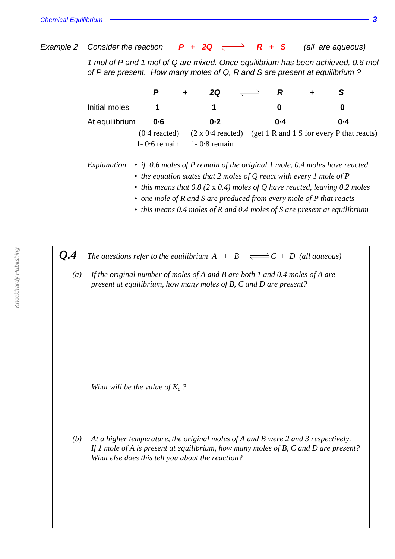Example 2 Consider the reaction  $P + 2Q \implies R + S$  (all are aqueous)

1 mol of P and 1 mol of Q are mixed. Once equilibrium has been achieved, 0.6 mol of P are present. How many moles of Q, R and S are present at equilibrium ?

|                |                  | 2Q                                                                                                          | R       | S       |
|----------------|------------------|-------------------------------------------------------------------------------------------------------------|---------|---------|
| Initial moles  |                  |                                                                                                             |         | O       |
| At equilibrium | $0 - 6$          | $0 - 2$                                                                                                     | $0 - 4$ | $0 - 4$ |
|                |                  | $(0.4 \text{ reacted})$ $(2 \times 0.4 \text{ reacted})$ $(\text{get 1 R and 1 S for every P that reacts})$ |         |         |
|                | $1 - 0.6$ remain | $1 - 0.8$ remain                                                                                            |         |         |

*Explanation • if 0.6 moles of P remain of the original 1 mole, 0.4 moles have reacted*

- *the equation states that 2 moles of Q react with every 1 mole of P*
- *this means that 0.8 (2* x *0.4) moles of Q have reacted, leaving 0.2 moles*
- *one mole of R and S are produced from every mole of P that reacts*
- *this means 0.4 moles of R and 0.4 moles of S are present at equilibrium*

*Q.4 The questions refer to the equilibrium*  $A + B \implies C + D$  (all aqueous)

*(a) If the original number of moles of A and B are both 1 and 0.4 moles of A are present at equilibrium, how many moles of B, C and D are present?*

*What will be the value of*  $K_c$  ?

*(b) At a higher temperature, the original moles of A and B were 2 and 3 respectively. If 1 mole of A is present at equilibrium, how many moles of B, C and D are present? What else does this tell you about the reaction?*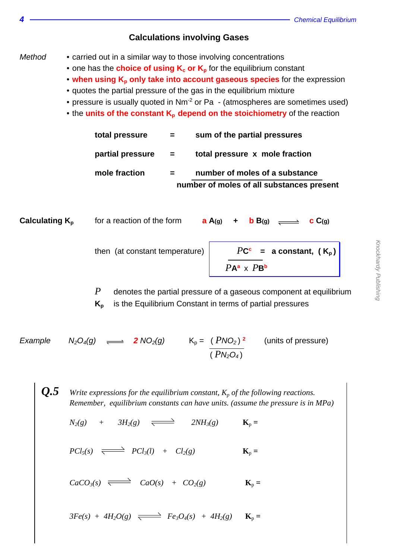### **Calculations involving Gases**